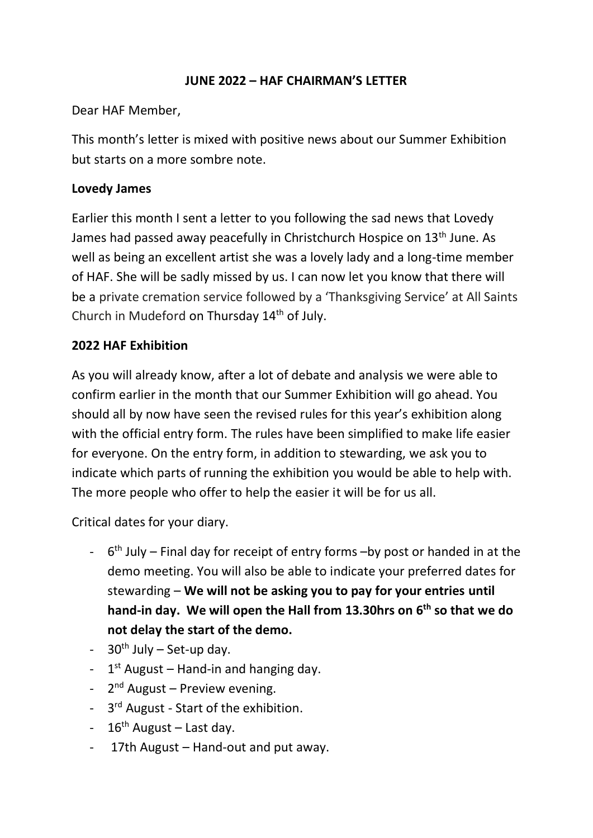#### **JUNE 2022 – HAF CHAIRMAN'S LETTER**

Dear HAF Member,

This month's letter is mixed with positive news about our Summer Exhibition but starts on a more sombre note.

## **Lovedy James**

Earlier this month I sent a letter to you following the sad news that Lovedy James had passed away peacefully in Christchurch Hospice on 13<sup>th</sup> June. As well as being an excellent artist she was a lovely lady and a long-time member of HAF. She will be sadly missed by us. I can now let you know that there will be a private cremation service followed by a 'Thanksgiving Service' at All Saints Church in Mudeford on Thursday 14<sup>th</sup> of July.

# **2022 HAF Exhibition**

As you will already know, after a lot of debate and analysis we were able to confirm earlier in the month that our Summer Exhibition will go ahead. You should all by now have seen the revised rules for this year's exhibition along with the official entry form. The rules have been simplified to make life easier for everyone. On the entry form, in addition to stewarding, we ask you to indicate which parts of running the exhibition you would be able to help with. The more people who offer to help the easier it will be for us all.

Critical dates for your diary.

- $-6$ <sup>th</sup> July Final day for receipt of entry forms –by post or handed in at the demo meeting. You will also be able to indicate your preferred dates for stewarding – **We will not be asking you to pay for your entries until hand-in day. We will open the Hall from 13.30hrs on 6 th so that we do not delay the start of the demo.**
- $-$  30<sup>th</sup> July Set-up day.
- $-1$ <sup>st</sup> August Hand-in and hanging day.
- 2<sup>nd</sup> August Preview evening.
- 3<sup>rd</sup> August Start of the exhibition.
- $-16^{th}$  August Last day.
- 17th August Hand-out and put away.